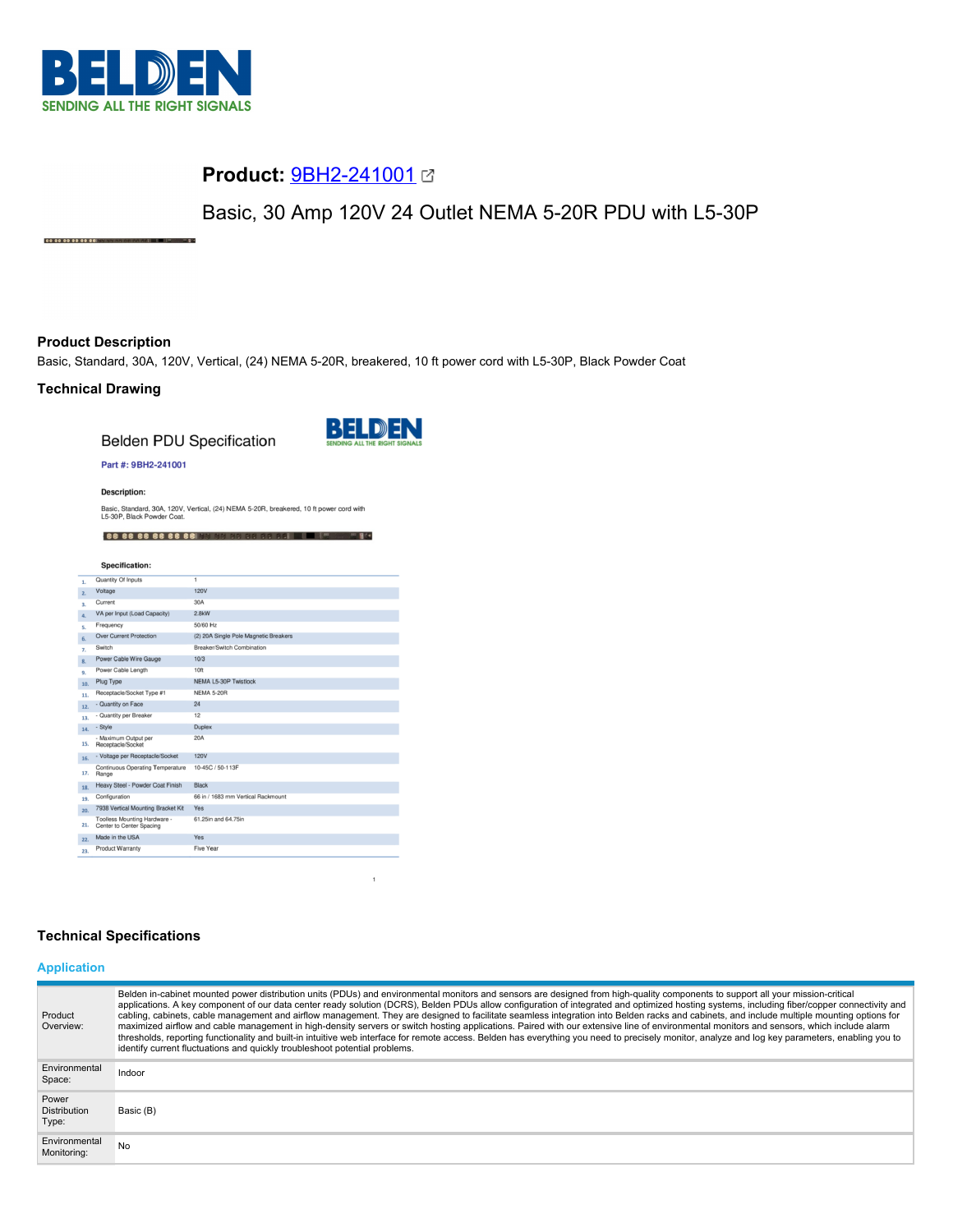

# **Product:** [9BH2-241001](https://catalog.belden.com/index.cfm?event=pd&p=PF_9BH2241001&tab=downloads)

Basic, 30 Amp 120V 24 Outlet NEMA 5-20R PDU with L5-30P

## **Product Description**

88 88 88 88 88 88

Basic, Standard, 30A, 120V, Vertical, (24) NEMA 5-20R, breakered, 10 ft power cord with L5-30P, Black Powder Coat

## **Technical Drawing**

**Belden PDU Specification** 



 $\mathbf{1}$ 

#### Part #: 9BH2-241001

**Description:** 

Basic, Standard, 30A, 120V, Vertical, (24) NEMA 5-20R, breakered, 10 ft power cord with<br>L5-30P, Black Powder Coat.

88 88 88 88 88 88 13 55 56 56 56 56 14 15 6 58 59

|                  | Specification:                                           |                                       |
|------------------|----------------------------------------------------------|---------------------------------------|
| 1.               | Quantity Of Inputs                                       | ī                                     |
| 2.               | Voltage                                                  | <b>120V</b>                           |
| 3.               | Current                                                  | 30A                                   |
| $\overline{a}$ . | VA per Input (Load Capacity)                             | 2.8kW                                 |
| s.               | Frequency                                                | 50/60 Hz                              |
| 6.               | <b>Over Current Protection</b>                           | (2) 20A Single Pole Magnetic Breakers |
| 7.               | Switch                                                   | Breaker/Switch Combination            |
| 8.               | Power Cable Wire Gauge                                   | 10/3                                  |
| 9.               | Power Cable Length                                       | 10 <sup>ft</sup>                      |
| 10.              | Plug Type                                                | NEMA L5-30P Twistlock                 |
| 11.              | Receptacle/Socket Type #1                                | <b>NEMA 5-20R</b>                     |
| 12.              | - Quantity on Face                                       | 24                                    |
| 13.              | - Quantity per Breaker                                   | 12                                    |
| 14.              | - Style                                                  | <b>Duplex</b>                         |
| 15.              | - Maximum Output per<br>Receptacle/Socket                | 20A                                   |
| 16.              | - Voltage per Receptacle/Socket                          | <b>120V</b>                           |
| 17.              | Continuous Operating Temperature<br>Range                | 10-45C / 50-113F                      |
| 18.              | Heavy Steel - Powder Coat Finish                         | <b>Black</b>                          |
| 19.              | Configuration                                            | 66 in / 1683 mm Vertical Rackmount    |
| 20.              | 7938 Vertical Mounting Bracket Kit                       | Yes                                   |
| 21.              | Toolless Mounting Hardware -<br>Center to Center Spacing | 61.25in and 64.75in                   |
| 22.              | Made in the USA                                          | Yes                                   |
| 22 <sub>2</sub>  | <b>Product Warranty</b>                                  | Five Year                             |

## **Technical Specifications**

## **Application**

| Product<br>Overview:                  | Belden in-cabinet mounted power distribution units (PDUs) and environmental monitors and sensors are designed from high-quality components to support all your mission-critical<br>applications. A key component of our data center ready solution (DCRS), Belden PDUs allow configuration of integrated and optimized hosting systems, including fiber/copper connectivity and<br>cabling, cabinets, cable management and airflow management. They are designed to facilitate seamless integration into Belden racks and cabinets, and include multiple mounting options for<br>maximized airflow and cable management in high-density servers or switch hosting applications. Paired with our extensive line of environmental monitors and sensors, which include alarm<br>thresholds, reporting functionality and built-in intuitive web interface for remote access. Belden has everything you need to precisely monitor, analyze and log key parameters, enabling you to<br>identify current fluctuations and quickly troubleshoot potential problems. |
|---------------------------------------|-------------------------------------------------------------------------------------------------------------------------------------------------------------------------------------------------------------------------------------------------------------------------------------------------------------------------------------------------------------------------------------------------------------------------------------------------------------------------------------------------------------------------------------------------------------------------------------------------------------------------------------------------------------------------------------------------------------------------------------------------------------------------------------------------------------------------------------------------------------------------------------------------------------------------------------------------------------------------------------------------------------------------------------------------------------|
| Environmental<br>Space:               | Indoor                                                                                                                                                                                                                                                                                                                                                                                                                                                                                                                                                                                                                                                                                                                                                                                                                                                                                                                                                                                                                                                      |
| Power<br><b>Distribution</b><br>Type: | Basic (B)                                                                                                                                                                                                                                                                                                                                                                                                                                                                                                                                                                                                                                                                                                                                                                                                                                                                                                                                                                                                                                                   |
| Environmental<br>Monitoring:          | No                                                                                                                                                                                                                                                                                                                                                                                                                                                                                                                                                                                                                                                                                                                                                                                                                                                                                                                                                                                                                                                          |